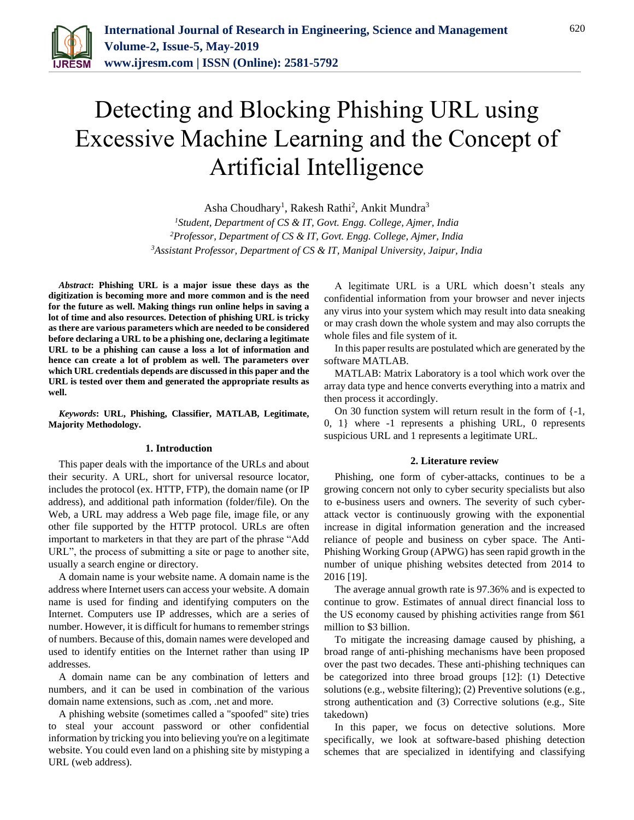

# Detecting and Blocking Phishing URL using Excessive Machine Learning and the Concept of Artificial Intelligence

Asha Choudhary<sup>1</sup>, Rakesh Rathi<sup>2</sup>, Ankit Mundra<sup>3</sup>

*<sup>1</sup>Student, Department of CS & IT, Govt. Engg. College, Ajmer, India <sup>2</sup>Professor, Department of CS & IT, Govt. Engg. College, Ajmer, India <sup>3</sup>Assistant Professor, Department of CS & IT, Manipal University, Jaipur, India*

*Abstract***: Phishing URL is a major issue these days as the digitization is becoming more and more common and is the need for the future as well. Making things run online helps in saving a lot of time and also resources. Detection of phishing URL is tricky as there are various parameters which are needed to be considered before declaring a URL to be a phishing one, declaring a legitimate URL to be a phishing can cause a loss a lot of information and hence can create a lot of problem as well. The parameters over which URL credentials depends are discussed in this paper and the URL is tested over them and generated the appropriate results as well.**

*Keywords***: URL, Phishing, Classifier, MATLAB, Legitimate, Majority Methodology.**

## **1. Introduction**

This paper deals with the importance of the URLs and about their security. A URL, short for universal resource locator, includes the protocol (ex. HTTP, FTP), the domain name (or IP address), and additional path information (folder/file). On the Web, a URL may address a Web page file, image file, or any other file supported by the HTTP protocol. URLs are often important to marketers in that they are part of the phrase "Add URL", the process of submitting a site or page to another site, usually a search engine or directory.

A domain name is your website name. A domain name is the address where Internet users can access your website. A domain name is used for finding and identifying computers on the Internet. Computers use IP addresses, which are a series of number. However, it is difficult for humans to remember strings of numbers. Because of this, domain names were developed and used to identify entities on the Internet rather than using IP addresses.

A domain name can be any combination of letters and numbers, and it can be used in combination of the various domain name extensions, such as .com, .net and more.

A phishing website (sometimes called a "spoofed" site) tries to steal your account password or other confidential information by tricking you into believing you're on a legitimate website. You could even land on a phishing site by mistyping a URL (web address).

A legitimate URL is a URL which doesn't steals any confidential information from your browser and never injects any virus into your system which may result into data sneaking or may crash down the whole system and may also corrupts the whole files and file system of it.

In this paper results are postulated which are generated by the software MATLAB.

MATLAB: Matrix Laboratory is a tool which work over the array data type and hence converts everything into a matrix and then process it accordingly.

On 30 function system will return result in the form of {-1, 0, 1} where -1 represents a phishing URL, 0 represents suspicious URL and 1 represents a legitimate URL.

## **2. Literature review**

Phishing, one form of cyber-attacks, continues to be a growing concern not only to cyber security specialists but also to e-business users and owners. The severity of such cyberattack vector is continuously growing with the exponential increase in digital information generation and the increased reliance of people and business on cyber space. The Anti-Phishing Working Group (APWG) has seen rapid growth in the number of unique phishing websites detected from 2014 to 2016 [19].

The average annual growth rate is 97.36% and is expected to continue to grow. Estimates of annual direct financial loss to the US economy caused by phishing activities range from \$61 million to \$3 billion.

To mitigate the increasing damage caused by phishing, a broad range of anti-phishing mechanisms have been proposed over the past two decades. These anti-phishing techniques can be categorized into three broad groups [12]: (1) Detective solutions (e.g., website filtering); (2) Preventive solutions (e.g., strong authentication and (3) Corrective solutions (e.g., Site takedown)

In this paper, we focus on detective solutions. More specifically, we look at software-based phishing detection schemes that are specialized in identifying and classifying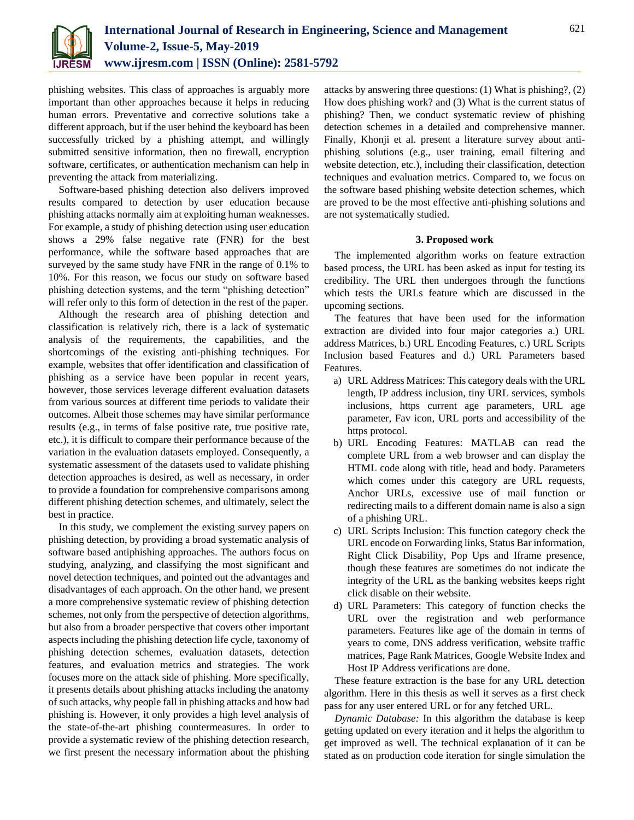

phishing websites. This class of approaches is arguably more important than other approaches because it helps in reducing human errors. Preventative and corrective solutions take a different approach, but if the user behind the keyboard has been successfully tricked by a phishing attempt, and willingly submitted sensitive information, then no firewall, encryption software, certificates, or authentication mechanism can help in preventing the attack from materializing.

Software-based phishing detection also delivers improved results compared to detection by user education because phishing attacks normally aim at exploiting human weaknesses. For example, a study of phishing detection using user education shows a 29% false negative rate (FNR) for the best performance, while the software based approaches that are surveyed by the same study have FNR in the range of 0.1% to 10%. For this reason, we focus our study on software based phishing detection systems, and the term "phishing detection" will refer only to this form of detection in the rest of the paper.

Although the research area of phishing detection and classification is relatively rich, there is a lack of systematic analysis of the requirements, the capabilities, and the shortcomings of the existing anti-phishing techniques. For example, websites that offer identification and classification of phishing as a service have been popular in recent years, however, those services leverage different evaluation datasets from various sources at different time periods to validate their outcomes. Albeit those schemes may have similar performance results (e.g., in terms of false positive rate, true positive rate, etc.), it is difficult to compare their performance because of the variation in the evaluation datasets employed. Consequently, a systematic assessment of the datasets used to validate phishing detection approaches is desired, as well as necessary, in order to provide a foundation for comprehensive comparisons among different phishing detection schemes, and ultimately, select the best in practice.

In this study, we complement the existing survey papers on phishing detection, by providing a broad systematic analysis of software based antiphishing approaches. The authors focus on studying, analyzing, and classifying the most significant and novel detection techniques, and pointed out the advantages and disadvantages of each approach. On the other hand, we present a more comprehensive systematic review of phishing detection schemes, not only from the perspective of detection algorithms, but also from a broader perspective that covers other important aspects including the phishing detection life cycle, taxonomy of phishing detection schemes, evaluation datasets, detection features, and evaluation metrics and strategies. The work focuses more on the attack side of phishing. More specifically, it presents details about phishing attacks including the anatomy of such attacks, why people fall in phishing attacks and how bad phishing is. However, it only provides a high level analysis of the state-of-the-art phishing countermeasures. In order to provide a systematic review of the phishing detection research, we first present the necessary information about the phishing

attacks by answering three questions: (1) What is phishing?, (2) How does phishing work? and (3) What is the current status of phishing? Then, we conduct systematic review of phishing detection schemes in a detailed and comprehensive manner. Finally, Khonji et al. present a literature survey about antiphishing solutions (e.g., user training, email filtering and website detection, etc.), including their classification, detection techniques and evaluation metrics. Compared to, we focus on the software based phishing website detection schemes, which are proved to be the most effective anti-phishing solutions and are not systematically studied.

## **3. Proposed work**

The implemented algorithm works on feature extraction based process, the URL has been asked as input for testing its credibility. The URL then undergoes through the functions which tests the URLs feature which are discussed in the upcoming sections.

The features that have been used for the information extraction are divided into four major categories a.) URL address Matrices, b.) URL Encoding Features, c.) URL Scripts Inclusion based Features and d.) URL Parameters based Features.

- a) URL Address Matrices: This category deals with the URL length, IP address inclusion, tiny URL services, symbols inclusions, https current age parameters, URL age parameter, Fav icon, URL ports and accessibility of the https protocol.
- b) URL Encoding Features: MATLAB can read the complete URL from a web browser and can display the HTML code along with title, head and body. Parameters which comes under this category are URL requests, Anchor URLs, excessive use of mail function or redirecting mails to a different domain name is also a sign of a phishing URL.
- c) URL Scripts Inclusion: This function category check the URL encode on Forwarding links, Status Bar information, Right Click Disability, Pop Ups and Iframe presence, though these features are sometimes do not indicate the integrity of the URL as the banking websites keeps right click disable on their website.
- d) URL Parameters: This category of function checks the URL over the registration and web performance parameters. Features like age of the domain in terms of years to come, DNS address verification, website traffic matrices, Page Rank Matrices, Google Website Index and Host IP Address verifications are done.

These feature extraction is the base for any URL detection algorithm. Here in this thesis as well it serves as a first check pass for any user entered URL or for any fetched URL.

*Dynamic Database:* In this algorithm the database is keep getting updated on every iteration and it helps the algorithm to get improved as well. The technical explanation of it can be stated as on production code iteration for single simulation the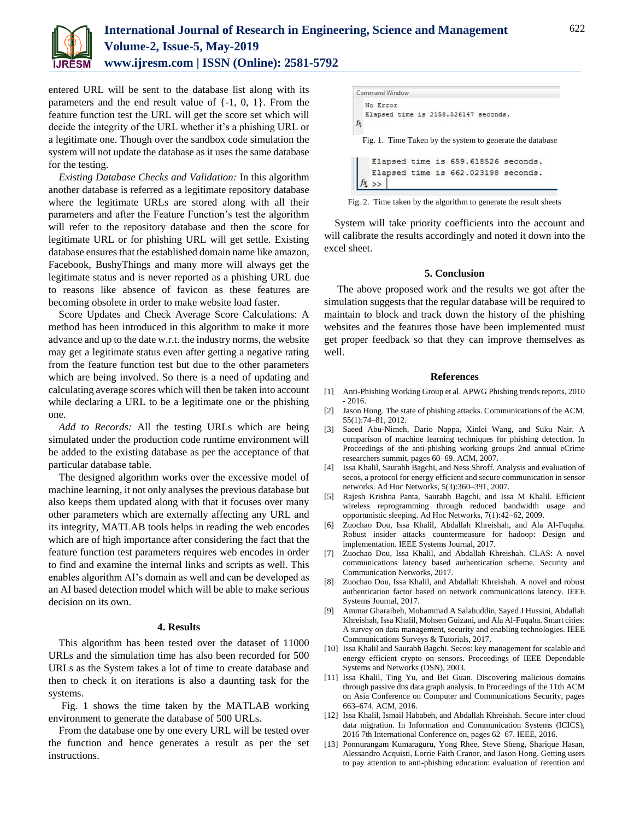

# **International Journal of Research in Engineering, Science and Management Volume-2, Issue-5, May-2019 www.ijresm.com | ISSN (Online): 2581-5792**

entered URL will be sent to the database list along with its parameters and the end result value of {-1, 0, 1}. From the feature function test the URL will get the score set which will decide the integrity of the URL whether it's a phishing URL or a legitimate one. Though over the sandbox code simulation the system will not update the database as it uses the same database for the testing.

*Existing Database Checks and Validation:* In this algorithm another database is referred as a legitimate repository database where the legitimate URLs are stored along with all their parameters and after the Feature Function's test the algorithm will refer to the repository database and then the score for legitimate URL or for phishing URL will get settle. Existing database ensures that the established domain name like amazon, Facebook, BushyThings and many more will always get the legitimate status and is never reported as a phishing URL due to reasons like absence of favicon as these features are becoming obsolete in order to make website load faster.

Score Updates and Check Average Score Calculations: A method has been introduced in this algorithm to make it more advance and up to the date w.r.t. the industry norms, the website may get a legitimate status even after getting a negative rating from the feature function test but due to the other parameters which are being involved. So there is a need of updating and calculating average scores which will then be taken into account while declaring a URL to be a legitimate one or the phishing one.

*Add to Records:* All the testing URLs which are being simulated under the production code runtime environment will be added to the existing database as per the acceptance of that particular database table.

The designed algorithm works over the excessive model of machine learning, it not only analyses the previous database but also keeps them updated along with that it focuses over many other parameters which are externally affecting any URL and its integrity, MATLAB tools helps in reading the web encodes which are of high importance after considering the fact that the feature function test parameters requires web encodes in order to find and examine the internal links and scripts as well. This enables algorithm AI's domain as well and can be developed as an AI based detection model which will be able to make serious decision on its own.

### **4. Results**

This algorithm has been tested over the dataset of 11000 URLs and the simulation time has also been recorded for 500 URLs as the System takes a lot of time to create database and then to check it on iterations is also a daunting task for the systems.

Fig. 1 shows the time taken by the MATLAB working environment to generate the database of 500 URLs.

From the database one by one every URL will be tested over the function and hence generates a result as per the set instructions.

```
Command Window
  No Error
  Elapsed time is 2158.526147 seconds.
fx
 Fig. 1. Time Taken by the system to generate the database
    Elapsed time is 659.618526 seconds.
    Elapsed time is 662.023198 seconds.
 fx \rightarrow
```
Fig. 2. Time taken by the algorithm to generate the result sheets

System will take priority coefficients into the account and will calibrate the results accordingly and noted it down into the excel sheet.

## **5. Conclusion**

The above proposed work and the results we got after the simulation suggests that the regular database will be required to maintain to block and track down the history of the phishing websites and the features those have been implemented must get proper feedback so that they can improve themselves as well.

### **References**

- [1] Anti-Phishing Working Group et al. APWG Phishing trends reports, 2010 - 2016.
- [2] Jason Hong. The state of phishing attacks. Communications of the ACM, 55(1):74–81, 2012.
- [3] Saeed Abu-Nimeh, Dario Nappa, Xinlei Wang, and Suku Nair. A comparison of machine learning techniques for phishing detection. In Proceedings of the anti-phishing working groups 2nd annual eCrime researchers summit, pages 60–69. ACM, 2007.
- [4] Issa Khalil, Saurabh Bagchi, and Ness Shroff. Analysis and evaluation of secos, a protocol for energy efficient and secure communication in sensor networks. Ad Hoc Networks, 5(3):360–391, 2007.
- [5] Rajesh Krishna Panta, Saurabh Bagchi, and Issa M Khalil. Efficient wireless reprogramming through reduced bandwidth usage and opportunistic sleeping. Ad Hoc Networks, 7(1):42–62, 2009.
- [6] Zuochao Dou, Issa Khalil, Abdallah Khreishah, and Ala Al-Fuqaha. Robust insider attacks countermeasure for hadoop: Design and implementation. IEEE Systems Journal, 2017.
- [7] Zuochao Dou, Issa Khalil, and Abdallah Khreishah. CLAS: A novel communications latency based authentication scheme. Security and Communication Networks, 2017.
- [8] Zuochao Dou, Issa Khalil, and Abdallah Khreishah. A novel and robust authentication factor based on network communications latency. IEEE Systems Journal, 2017.
- [9] Ammar Gharaibeh, Mohammad A Salahuddin, Sayed J Hussini, Abdallah Khreishah, Issa Khalil, Mohsen Guizani, and Ala Al-Fuqaha. Smart cities: A survey on data management, security and enabling technologies. IEEE Communications Surveys & Tutorials, 2017.
- [10] Issa Khalil and Saurabh Bagchi. Secos: key management for scalable and energy efficient crypto on sensors. Proceedings of IEEE Dependable Systems and Networks (DSN), 2003.
- [11] Issa Khalil, Ting Yu, and Bei Guan. Discovering malicious domains through passive dns data graph analysis. In Proceedings of the 11th ACM on Asia Conference on Computer and Communications Security, pages 663–674. ACM, 2016.
- [12] Issa Khalil, Ismail Hababeh, and Abdallah Khreishah. Secure inter cloud data migration. In Information and Communication Systems (ICICS), 2016 7th International Conference on, pages 62–67. IEEE, 2016.
- [13] Ponnurangam Kumaraguru, Yong Rhee, Steve Sheng, Sharique Hasan, Alessandro Acquisti, Lorrie Faith Cranor, and Jason Hong. Getting users to pay attention to anti-phishing education: evaluation of retention and